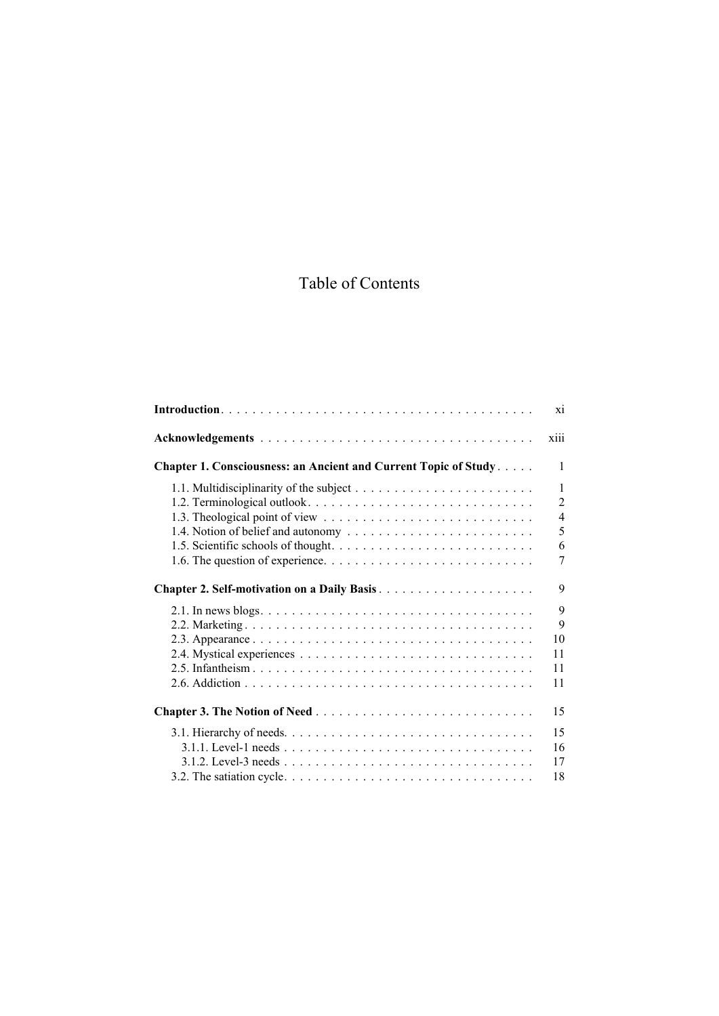## Table of Contents

|                                                                 | X1             |
|-----------------------------------------------------------------|----------------|
|                                                                 | X111           |
| Chapter 1. Consciousness: an Ancient and Current Topic of Study | 1              |
|                                                                 | $\mathbf{1}$   |
|                                                                 | $\overline{2}$ |
|                                                                 | $\overline{4}$ |
| 1.4. Notion of belief and autonomy                              | 5              |
|                                                                 | 6              |
|                                                                 | 7              |
|                                                                 | 9              |
|                                                                 | 9              |
|                                                                 | 9              |
|                                                                 | 10             |
|                                                                 | 11             |
|                                                                 | 11             |
|                                                                 | 11             |
|                                                                 | 15             |
|                                                                 | 15             |
|                                                                 | 16             |
|                                                                 | 17             |
|                                                                 | 18             |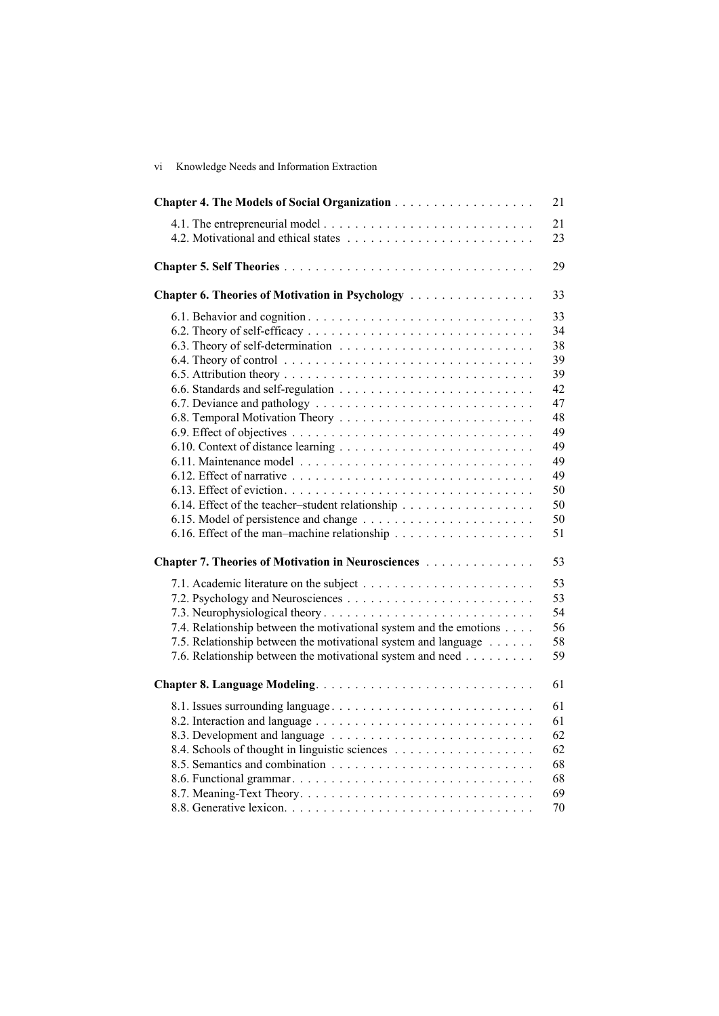| vi | Knowledge Needs and Information Extraction |  |  |
|----|--------------------------------------------|--|--|
|    |                                            |  |  |

|                                                                                                                                                                                                    | 21                                                                                     |
|----------------------------------------------------------------------------------------------------------------------------------------------------------------------------------------------------|----------------------------------------------------------------------------------------|
|                                                                                                                                                                                                    | 21<br>23                                                                               |
|                                                                                                                                                                                                    | 29                                                                                     |
| Chapter 6. Theories of Motivation in Psychology                                                                                                                                                    | 33                                                                                     |
| 6.14. Effect of the teacher-student relationship                                                                                                                                                   | 33<br>34<br>38<br>39<br>39<br>42<br>47<br>48<br>49<br>49<br>49<br>49<br>50<br>50<br>50 |
|                                                                                                                                                                                                    | 51                                                                                     |
| Chapter 7. Theories of Motivation in Neurosciences                                                                                                                                                 | 53                                                                                     |
| 7.4. Relationship between the motivational system and the emotions<br>7.5. Relationship between the motivational system and language<br>7.6. Relationship between the motivational system and need | 53<br>53<br>54<br>56<br>58<br>59                                                       |
|                                                                                                                                                                                                    | 61                                                                                     |
| 8.1. Issues surrounding language                                                                                                                                                                   | 61<br>61<br>62<br>62<br>68<br>68                                                       |
|                                                                                                                                                                                                    | 69<br>70                                                                               |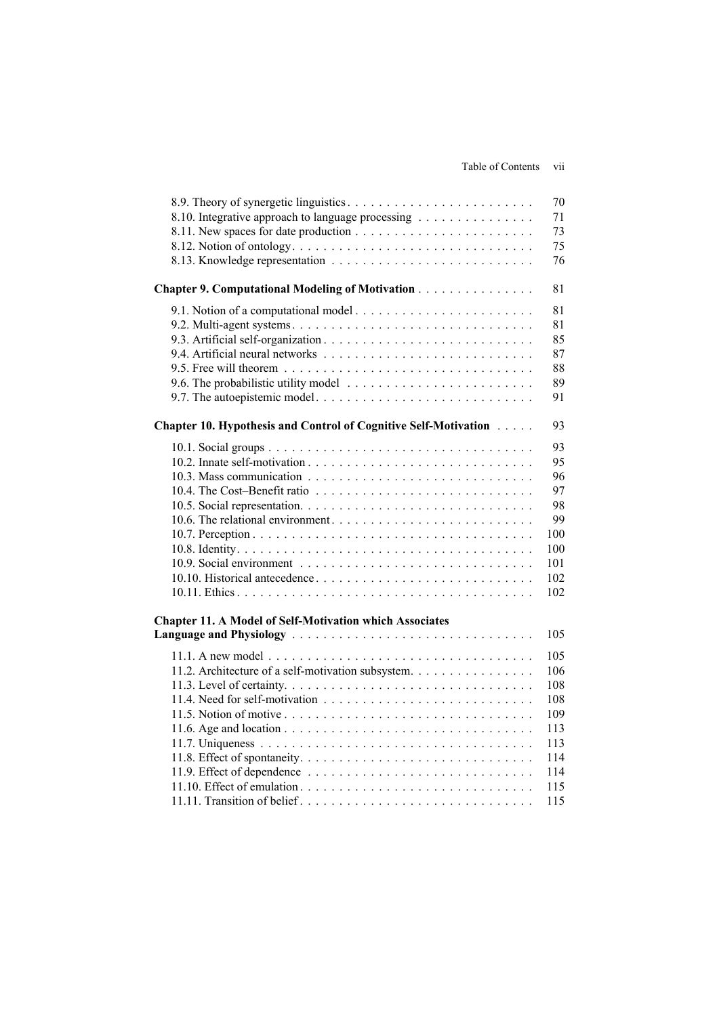| 8.10. Integrative approach to language processing               | 70<br>71<br>73<br>75<br>76             |
|-----------------------------------------------------------------|----------------------------------------|
| Chapter 9. Computational Modeling of Motivation                 | 81                                     |
|                                                                 | 81<br>81<br>85<br>87<br>88<br>89<br>91 |
| Chapter 10. Hypothesis and Control of Cognitive Self-Motivation | 93                                     |
|                                                                 | 93                                     |
|                                                                 | 95                                     |
|                                                                 | 96                                     |
|                                                                 | 97                                     |
|                                                                 | 98                                     |
|                                                                 | 99                                     |
|                                                                 | 100                                    |
|                                                                 | 100                                    |
|                                                                 | 101                                    |
|                                                                 | 102                                    |
|                                                                 | 102                                    |
| <b>Chapter 11. A Model of Self-Motivation which Associates</b>  |                                        |
|                                                                 | 105                                    |
|                                                                 | 105                                    |
| 11.2. Architecture of a self-motivation subsystem.              | 106                                    |
|                                                                 | 108                                    |
|                                                                 | 108                                    |
|                                                                 | 109                                    |
|                                                                 | 113                                    |
|                                                                 | 113                                    |
|                                                                 | 114                                    |
|                                                                 | 114                                    |
|                                                                 | 115                                    |
|                                                                 | 115                                    |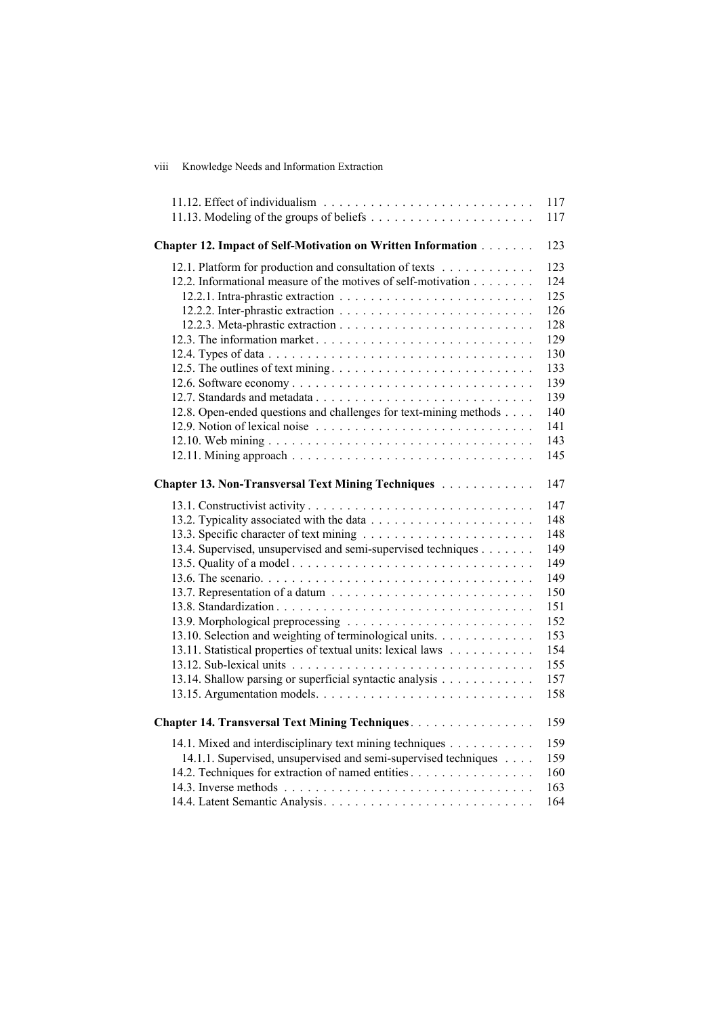| viii | Knowledge Needs and Information Extraction |  |  |  |
|------|--------------------------------------------|--|--|--|
|------|--------------------------------------------|--|--|--|

|                                                                   | 117 |
|-------------------------------------------------------------------|-----|
|                                                                   | 117 |
|                                                                   |     |
| Chapter 12. Impact of Self-Motivation on Written Information      | 123 |
| 12.1. Platform for production and consultation of texts           | 123 |
| 12.2. Informational measure of the motives of self-motivation     | 124 |
|                                                                   | 125 |
|                                                                   | 126 |
|                                                                   | 128 |
|                                                                   | 129 |
|                                                                   | 130 |
|                                                                   | 133 |
|                                                                   | 139 |
|                                                                   | 139 |
| 12.8. Open-ended questions and challenges for text-mining methods | 140 |
|                                                                   | 141 |
|                                                                   | 143 |
|                                                                   | 145 |
|                                                                   |     |
| Chapter 13. Non-Transversal Text Mining Techniques                | 147 |
|                                                                   | 147 |
|                                                                   | 148 |
|                                                                   | 148 |
| 13.4. Supervised, unsupervised and semi-supervised techniques     | 149 |
|                                                                   | 149 |
|                                                                   | 149 |
|                                                                   | 150 |
|                                                                   | 151 |
|                                                                   | 152 |
| 13.10. Selection and weighting of terminological units.           | 153 |
| 13.11. Statistical properties of textual units: lexical laws      | 154 |
|                                                                   | 155 |
| 13.14. Shallow parsing or superficial syntactic analysis          | 157 |
|                                                                   | 158 |
| Chapter 14. Transversal Text Mining Techniques.                   | 159 |
| 14.1. Mixed and interdisciplinary text mining techniques          | 159 |
| 14.1.1. Supervised, unsupervised and semi-supervised techniques   | 159 |
| 14.2. Techniques for extraction of named entities                 | 160 |
|                                                                   | 163 |
|                                                                   | 164 |
|                                                                   |     |